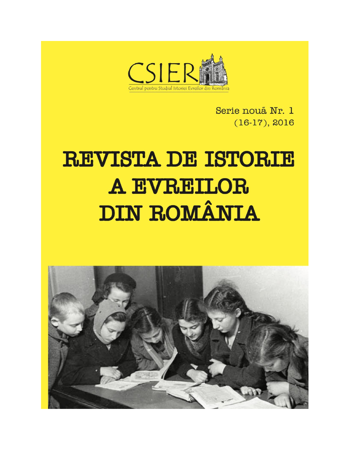

Serie nouă Nr. 1  $(16-17), 2016$ 

# **REVISTA DE ISTORIE** A EVREILOR **DIN ROMÂNIA**

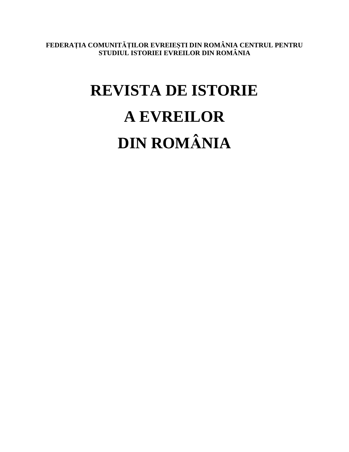**FEDERAȚIA COMUNITĂȚILOR EVREIEȘTI DIN ROMÂNIA CENTRUL PENTRU STUDIUL ISTORIEI EVREILOR DIN ROMÂNIA**

## **REVISTA DE ISTORIE A EVREILOR DIN ROMÂNIA**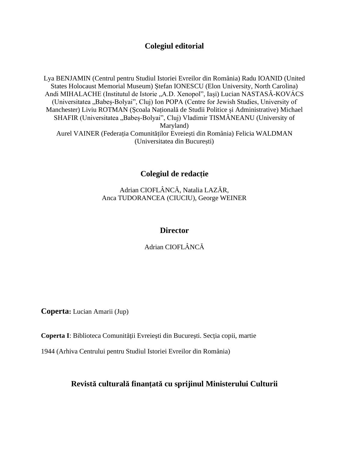## **Colegiul editorial**

Lya BENJAMIN (Centrul pentru Studiul Istoriei Evreilor din România) Radu IOANID (United States Holocaust Memorial Museum) Ștefan IONESCU (Elon University, North Carolina) Andi MIHALACHE (Institutul de Istorie "A.D. Xenopol", Iași) Lucian NASTASĂ-KOVÁCS (Universitatea "Babeș-Bolyai", Cluj) Ion POPA (Centre for Jewish Studies, University of Manchester) Liviu ROTMAN (Școala Națională de Studii Politice și Administrative) Michael SHAFIR (Universitatea "Babeș-Bolyai", Cluj) Vladimir TISMĂNEANU (University of Maryland) Aurel VAINER (Federația Comunităților Evreiești din România) Felicia WALDMAN (Universitatea din București)

**Colegiul de redacție**

Adrian CIOFLÂNCĂ, Natalia LAZĂR, Anca TUDORANCEA (CIUCIU), George WEINER

## **Director**

Adrian CIOFLÂNCĂ

**Coperta:** Lucian Amarii (Jup)

**Coperta I**: Biblioteca Comunităţii Evreieşti din Bucureşti. Secţia copii, martie

1944 (Arhiva Centrului pentru Studiul Istoriei Evreilor din România)

**Revistă culturală finanţată cu sprijinul Ministerului Culturii**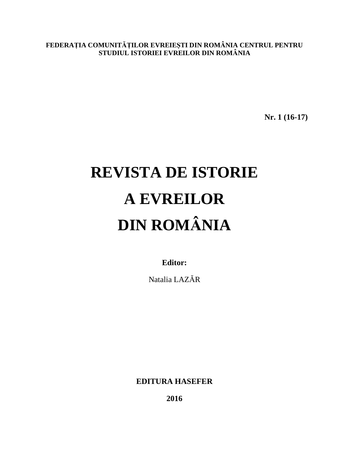**FEDERAȚIA COMUNITĂȚILOR EVREIEȘTI DIN ROMÂNIA CENTRUL PENTRU STUDIUL ISTORIEI EVREILOR DIN ROMÂNIA**

**Nr. 1 (16-17)** 

## **REVISTA DE ISTORIE A EVREILOR DIN ROMÂNIA**

**Editor:**

Natalia LAZĂR

**EDITURA HASEFER** 

**2016**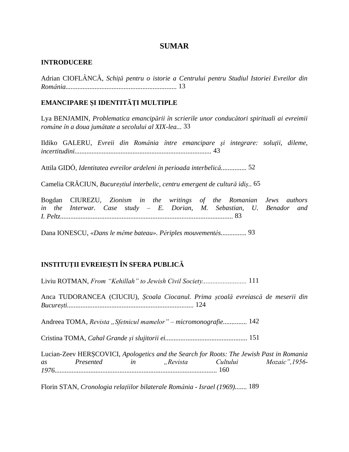## **SUMAR**

#### **INTRODUCERE**

Adrian CIOFLÂNCĂ, *Schiță pentru o istorie a Centrului pentru Studiul Istoriei Evreilor din România.................................................................* 13

## **EMANCIPARE ȘI IDENTITĂȚI MULTIPLE**

Lya BENJAMIN, *Problematica emancipării în scrierile unor conducători spirituali ai evreimii române în a doua jumătate a secolului al XIX-lea...* 33

Ildiko GALERU, *Evreii din România între emancipare şi integrare: soluţii, dileme, incertitudini................................................................................* 43

Attila GIDÓ, *Identitatea evreilor ardeleni în perioada interbelică...............* 52

Camelia CRĂCIUN, *Bucureștiul interbelic, centru emergent de cultură idiș..* 65

Bogdan CIUREZU, *Zionism in the writings of the Romanian Jews authors in the Interwar. Case study – E. Dorian, M. Sebastian, U. Benador and I. Peltz.....................................................................................................* 83

Dana IONESCU, *«Dans le même bateau». Périples mouvementés...............* 93

## **INSTITUȚII EVREIEȘTI ÎN SFERA PUBLICĂ**

Liviu ROTMAN, *From "Kehillah" to Jewish Civil Society..........................* 111 Anca TUDORANCEA (CIUCIU), *Școala Ciocanul. Prima școală evreiască de meserii din București..........................................................................* 124 Andreea TOMA, *Revista* "*Sfetnicul mamelor*" – *micromonografie..............*. 142 Cristina TOMA, *Cahal Grande și slujitorii ei................................................* 151 Lucian-Zeev HERȘCOVICI, *Apologetics and the Search for Roots: The Jewish Past in Romania as Presented in "Revista Cultului Mozaic",1956- 1976...............................................................................................* 160

Florin STAN, *Cronologia relațiilor bilaterale România - Israel (1969).......* 189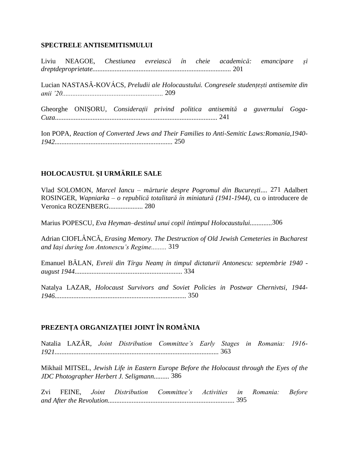#### **SPECTRELE ANTISEMITISMULUI**

Liviu NEAGOE, *Chestiunea evreiască în cheie academică: emancipare și dreptdeproprietate.................................................................................* 201

Lucian NASTASĂ-KOVÁCS, *Preludii ale Holocaustului. Congresele studențești antisemite din anii '20...........................................................* 209

Gheorghe ONIȘORU, *Considerații privind politica antisemită a guvernului Goga-Cuza...............................................................................................* 241

Ion POPA, *Reaction of Converted Jews and Their Families to Anti-Semitic Laws:Romania,1940- 1942.....................................................................* 250

## **HOLOCAUSTUL ȘI URMĂRILE SALE**

Vlad SOLOMON, *Marcel Iancu – mărturie despre Pogromul din Bucureşti*.... 271 Adalbert ROSINGER, *Wapniarka – o republică totalitară în miniatură (1941-1944)*, cu o introducere de Veronica ROZENBERG.................... 280

Marius POPESCU, *Eva Heyman–destinul unui copil întimpul Holocaustului.............*306

Adrian CIOFLÂNCĂ, *Erasing Memory. The Destruction of Old Jewish Cemeteries in Bucharest and Iași during Ion Antonescu's Regime.........* 319

Emanuel BĂLAN, *Evreii din Tîrgu Neamț în timpul dictaturii Antonescu: septembrie 1940 august 1944...............................................................* 334

Natalya LAZAR, *Holocaust Survivors and Soviet Policies in Postwar Chernivtsi, 1944- 1946.............................................................................* 350

## **PREZENȚA ORGANIZAȚIEI JOINT ÎN ROMÂNIA**

Natalia LAZĂR, *Joint Distribution Committee's Early Stages in Romania: 1916- 1921................................................................................................* 363

Mikhail MITSEL, *Jewish Life in Eastern Europe Before the Holocaust through the Eyes of the JDC Photographer Herbert J. Seligmann.........* 386

Zvi FEINE, *Joint Distribution Committee's Activities in Romania: Before and After the Revolution..........................................................................* 395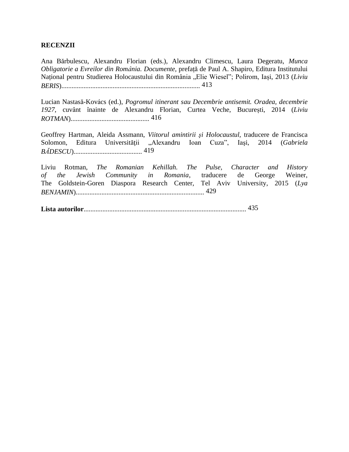#### **RECENZII**

Ana Bărbulescu, Alexandru Florian (eds.), Alexandru Climescu, Laura Degeratu, *Munca Obligatorie a Evreilor din România. Documente,* prefață de Paul A. Shapiro, Editura Institutului Național pentru Studierea Holocaustului din România "Elie Wiesel"; Polirom, Iași, 2013 (*Liviu BERIS*)................................................................................. 413

Lucian Nastasă-Kovács (ed.), *Pogromul itinerant sau Decembrie antisemit. Oradea, decembrie 1927*, cuvânt înainte de Alexandru Florian, Curtea Veche, București, 2014 (*Liviu ROTMAN*).............................................. 416

Geoffrey Hartman, Aleida Assmann, *Viitorul amintirii şi Holocaustul,* traducere de Francisca Solomon, Editura Universităţii "Alexandru Ioan Cuza", Iaşi, 2014 (*Gabriela BĂDESCU*)........................................ 419

Liviu Rotman, *The Romanian Kehillah. The Pulse, Character and History of the Jewish Community in Romania*, traducere de George Weiner, The Goldstein-Goren Diaspora Research Center, Tel Aviv University, 2015 (*Lya BENJAMIN*)........................................................................... 429

**Lista autorilor**............................................................................................... 435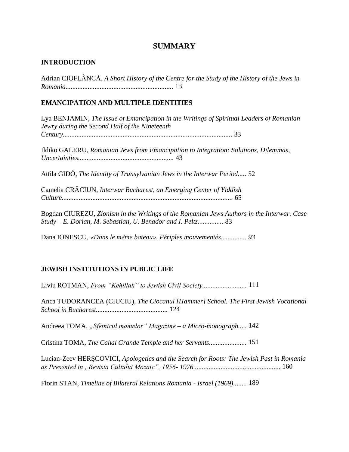## **SUMMARY**

## **INTRODUCTION**

Adrian CIOFLÂNCĂ, *A Short History of the Centre for the Study of the History of the Jews in Romania...............................................................* 13

### **EMANCIPATION AND MULTIPLE IDENTITIES**

Lya BENJAMIN, *The Issue of Emancipation in the Writings of Spiritual Leaders of Romanian Jewry during the Second Half of the Nineteenth Century...................................................................................................* 33

Ildiko GALERU, *Romanian Jews from Emancipation to Integration: Solutions, Dilemmas, Uncertainties........................................................* 43

Attila GIDÓ, *The Identity of Transylvanian Jews in the Interwar Period.....* 52

Camelia CRĂCIUN, *Interwar Bucharest, an Emerging Center of Yiddish Culture....................................................................................................* 65

Bogdan CIUREZU, *Zionism in the Writings of the Romanian Jews Authors in the Interwar. Case Study – E. Dorian, M. Sebastian, U. Benador and I. Peltz...............* 83

Dana IONESCU, *«Dans le même bateau». Périples mouvementés............... 93*

## **JEWISH INSTITUTIONS IN PUBLIC LIFE**

Liviu ROTMAN, *From "Kehillah" to Jewish Civil Society..........................* 111

Anca TUDORANCEA (CIUCIU), *The Ciocanul [Hammer] School. The First Jewish Vocational School in Bucharest..........................................* 124

Andreea TOMA, *"Sfetnicul mamelor" Magazine – a Micro-monograph.....* 142

Cristina TOMA, *The Cahal Grande Temple and her Servants......................* 151

Lucian-Zeev HERȘCOVICI, *Apologetics and the Search for Roots: The Jewish Past in Romania as Presented in "Revista Cultului Mozaic", 1956- 1976...................................................* 160

Florin STAN, *Timeline of Bilateral Relations Romania - Israel (1969)........* 189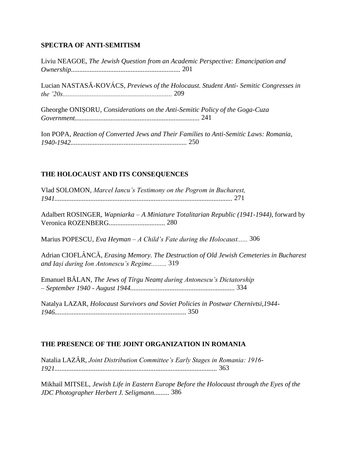## **SPECTRA OF ANTI-SEMITISM**

Liviu NEAGOE, *The Jewish Question from an Academic Perspective: Emancipation and Ownership................................................................* 201

Lucian NASTASĂ-KOVÁCS, *Previews of the Holocaust. Student Anti- Semitic Congresses in the '20s................................................................* 209

Gheorghe ONIȘORU, *Considerations on the Anti-Semitic Policy of the Goga-Cuza Government.........................................................................* 241

Ion POPA, *Reaction of Converted Jews and Their Families to Anti-Semitic Laws: Romania, 1940-1942....................................................................* 250

## **THE HOLOCAUST AND ITS CONSEQUENCES**

Vlad SOLOMON, *Marcel Iancu's Testimony on the Pogrom in Bucharest, 1941........................................................................................................* 271

Adalbert ROSINGER, *Wapniarka – A Miniature Totalitarian Republic (1941-1944)*, forward by Veronica ROZENBERG................................. 280

Marius POPESCU, *Eva Heyman – A Child's Fate during the Holocaust......* 306

Adrian CIOFLÂNCĂ, *Erasing Memory. The Destruction of Old Jewish Cemeteries in Bucharest and Iași during Ion Antonescu's Regime.........* 319

Emanuel BĂLAN, *The Jews of Tîrgu Neamț during Antonescu's Dictatorship – September 1940 - August 1944.............................................................* 334

Natalya LAZAR, *Holocaust Survivors and Soviet Policies in Postwar Chernivtsi,1944- 1946.............................................................................* 350

## **THE PRESENCE OF THE JOINT ORGANIZATION IN ROMANIA**

Natalia LAZĂR, *Joint Distribution Committee's Early Stages in Romania: 1916- 1921...............................................................................................* 363

Mikhail MITSEL, *Jewish Life in Eastern Europe Before the Holocaust through the Eyes of the JDC Photographer Herbert J. Seligmann.........* 386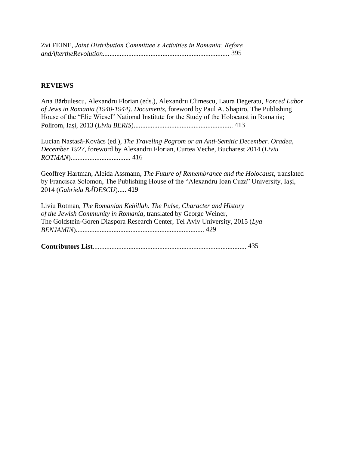Zvi FEINE, *Joint Distribution Committee's Activities in Romania: Before andAftertheRevolution..........................................................................* 395

#### **REVIEWS**

Ana Bărbulescu, Alexandru Florian (eds.), Alexandru Climescu, Laura Degeratu, *Forced Labor of Jews in Romania (1940-1944)*. *Documents,* foreword by Paul A. Shapiro, The Publishing House of the "Elie Wiesel" National Institute for the Study of the Holocaust in Romania; Polirom, Iași, 2013 (*Liviu BERIS*).......................................................... 413

Lucian Nastasă-Kovács (ed.), *The Traveling Pogrom or an Anti-Semitic December. Oradea, December 1927*, foreword by Alexandru Florian, Curtea Veche, Bucharest 2014 (*Liviu ROTMAN*)................................... 416

Geoffrey Hartman, Aleida Assmann, *The Future of Remembrance and the Holocaust*, translated by Francisca Solomon, The Publishing House of the "Alexandru Ioan Cuza" University, Iaşi, 2014 (*Gabriela BĂDESCU*)..... 419

Liviu Rotman, *The Romanian Kehillah. The Pulse, Character and History of the Jewish Community in Romania*, translated by George Weiner, The Goldstein-Goren Diaspora Research Center, Tel Aviv University, 2015 (*Lya BENJAMIN*)........................................................................... 429

**Contributors List**.......................................................................................... 435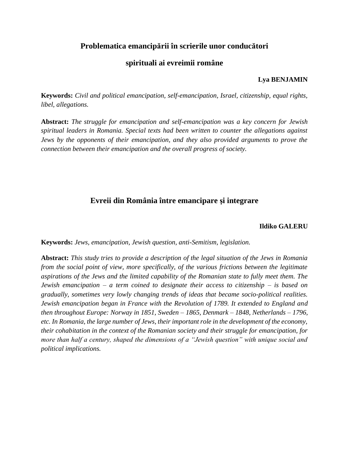## **Problematica emancipării în scrierile unor conducători**

## **spirituali ai evreimii române**

#### **Lya BENJAMIN**

**Keywords:** *Civil and political emancipation, self-emancipation, Israel, citizenship, equal rights, libel, allegations.*

**Abstract:** *The struggle for emancipation and self-emancipation was a key concern for Jewish spiritual leaders in Romania. Special texts had been written to counter the allegations against Jews by the opponents of their emancipation, and they also provided arguments to prove the connection between their emancipation and the overall progress of society.*

## **Evreii din România între emancipare şi integrare**

#### **Ildiko GALERU**

**Keywords:** *Jews, emancipation, Jewish question, anti-Semitism, legislation.*

**Abstract:** *This study tries to provide a description of the legal situation of the Jews in Romania from the social point of view, more specifically, of the various frictions between the legitimate aspirations of the Jews and the limited capability of the Romanian state to fully meet them. The Jewish emancipation – a term coined to designate their access to citizenship – is based on gradually, sometimes very lowly changing trends of ideas that became socio-political realities. Jewish emancipation began in France with the Revolution of 1789. It extended to England and then throughout Europe: Norway in 1851, Sweden – 1865, Denmark – 1848, Netherlands – 1796, etc. In Romania, the large number of Jews, their important role in the development of the economy, their cohabitation in the context of the Romanian society and their struggle for emancipation, for more than half a century, shaped the dimensions of a "Jewish question" with unique social and political implications.*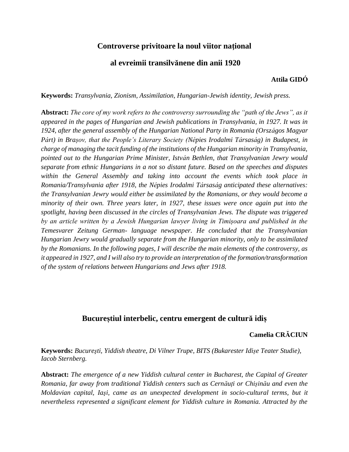## **Controverse privitoare la noul viitor naţional**

#### **al evreimii transilvănene din anii 1920**

#### **Attila GIDÓ**

**Keywords:** *Transylvania, Zionism, Assimilation, Hungarian-Jewish identity, Jewish press.*

**Abstract:** *The core of my work refers to the controversy surrounding the "path of the Jews", as it appeared in the pages of Hungarian and Jewish publications in Transylvania, in 1927. It was in 1924, after the general assembly of the Hungarian National Party in Romania (Országos Magyar Párt) in Brașov, that the People's Literary Society (Népies Irodalmi Társaság) in Budapest, in charge of managing the tacit funding of the institutions of the Hungarian minority in Transylvania, pointed out to the Hungarian Prime Minister, István Bethlen, that Transylvanian Jewry would separate from ethnic Hungarians in a not so distant future. Based on the speeches and disputes within the General Assembly and taking into account the events which took place in Romania/Transylvania after 1918, the Népies Irodalmi Társaság anticipated these alternatives: the Transylvanian Jewry would either be assimilated by the Romanians, or they would become a minority of their own. Three years later, in 1927, these issues were once again put into the spotlight, having been discussed in the circles of Transylvanian Jews. The dispute was triggered by an article written by a Jewish Hungarian lawyer living in Timișoara and published in the Temesvarer Zeitung German- language newspaper. He concluded that the Transylvanian Hungarian Jewry would gradually separate from the Hungarian minority, only to be assimilated by the Romanians. In the following pages, I will describe the main elements of the controversy, as it appeared in 1927, and I will also try to provide an interpretation of the formation/transformation of the system of relations between Hungarians and Jews after 1918.*

## **Bucureștiul interbelic, centru emergent de cultură idiș**

#### **Camelia CRĂCIUN**

**Keywords:** *Bucureşti, Yiddish theatre, Di Vilner Trupe, BITS (Bukarester Idișe Teater Studie), Iacob Sternberg.*

**Abstract:** *The emergence of a new Yiddish cultural center in Bucharest, the Capital of Greater Romania, far away from traditional Yiddish centers such as Cernăuți or Chișinău and even the Moldavian capital, Iaşi, came as an unexpected development in socio-cultural terms, but it nevertheless represented a significant element for Yiddish culture in Romania. Attracted by the*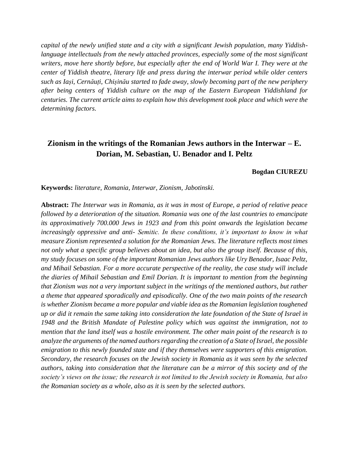*capital of the newly unified state and a city with a significant Jewish population, many Yiddishlanguage intellectuals from the newly attached provinces, especially some of the most significant writers, move here shortly before, but especially after the end of World War I. They were at the center of Yiddish theatre, literary life and press during the interwar period while older centers such as Iași, Cernăuți, Chișinău started to fade away, slowly becoming part of the new periphery after being centers of Yiddish culture on the map of the Eastern European Yiddishland for centuries. The current article aims to explain how this development took place and which were the determining factors.* 

## **Zionism in the writings of the Romanian Jews authors in the Interwar – E. Dorian, M. Sebastian, U. Benador and I. Peltz**

#### **Bogdan CIUREZU**

**Keywords:** *literature, Romania, Interwar, Zionism, Jabotinski.* 

**Abstract:** *The Interwar was in Romania, as it was in most of Europe, a period of relative peace followed by a deterioration of the situation. Romania was one of the last countries to emancipate its approximatively 700.000 Jews in 1923 and from this point onwards the legislation became increasingly oppressive and anti- Semitic. In these conditions, it's important to know in what measure Zionism represented a solution for the Romanian Jews. The literature reflects most times not only what a specific group believes about an idea, but also the group itself. Because of this, my study focuses on some of the important Romanian Jews authors like Ury Benador, Isaac Peltz, and Mihail Sebastian. For a more accurate perspective of the reality, the case study will include the diaries of Mihail Sebastian and Emil Dorian. It is important to mention from the beginning that Zionism was not a very important subject in the writings of the mentioned authors, but rather a theme that appeared sporadically and episodically. One of the two main points of the research is whether Zionism became a more popular and viable idea as the Romanian legislation toughened up or did it remain the same taking into consideration the late foundation of the State of Israel in 1948 and the British Mandate of Palestine policy which was against the immigration, not to mention that the land itself was a hostile environment. The other main point of the research is to analyze the arguments of the named authors regarding the creation of a State of Israel, the possible emigration to this newly founded state and if they themselves were supporters of this emigration. Secondary, the research focuses on the Jewish society in Romania as it was seen by the selected authors, taking into consideration that the literature can be a mirror of this society and of the society's views on the issue; the research is not limited to the Jewish society in Romania, but also the Romanian society as a whole, also as it is seen by the selected authors.*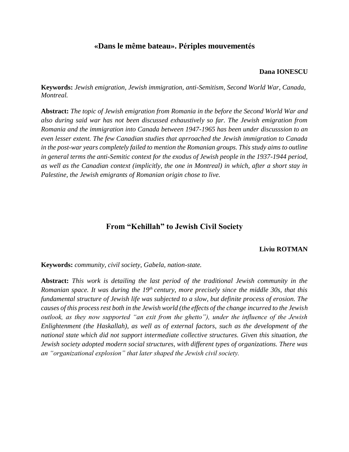## **«Dans le même bateau». Périples mouvementés**

#### **Dana IONESCU**

**Keywords:** *Jewish emigration, Jewish immigration, anti-Semitism, Second World War, Canada, Montreal.*

**Abstract:** *The topic of Jewish emigration from Romania in the before the Second World War and also during said war has not been discussed exhaustively so far. The Jewish emigration from Romania and the immigration into Canada between 1947-1965 has been under discusssion to an even lesser extent. The few Canadian studies that aprroached the Jewish immigration to Canada in the post-war years completely failed to mention the Romanian groups. This study aims to outline in general terms the anti-Semitic context for the exodus of Jewish people in the 1937-1944 period, as well as the Canadian context (implicitly, the one in Montreal) in which, after a short stay in Palestine, the Jewish emigrants of Romanian origin chose to live.*

## **From "Kehillah" to Jewish Civil Society**

#### **Liviu ROTMAN**

**Keywords:** *community, civil society, Gabela, nation-state.* 

**Abstract:** *This work is detailing the last period of the traditional Jewish community in the Romanian space. It was during the 19th century, more precisely since the middle 30s, that this fundamental structure of Jewish life was subjected to a slow, but definite process of erosion. The causes of this process rest both in the Jewish world (the effects of the change incurred to the Jewish outlook, as they now supported "an exit from the ghetto"), under the influence of the Jewish Enlightenment (the Haskallah), as well as of external factors, such as the development of the national state which did not support intermediate collective structures. Given this situation, the Jewish society adopted modern social structures, with different types of organizations. There was an "organizational explosion" that later shaped the Jewish civil society.*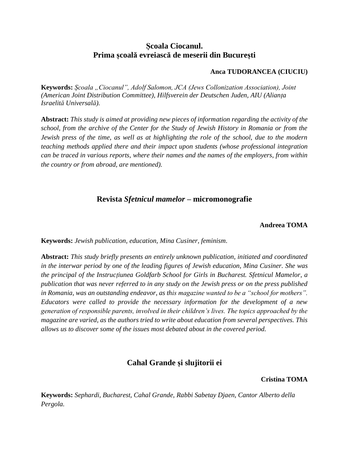## **Școala Ciocanul. Prima școală evreiască de meserii din București**

#### **Anca TUDORANCEA (CIUCIU)**

Keywords: *Școala "Ciocanul", Adolf Salomon, JCA (Jews Collonization Association), Joint (American Joint Distribution Committee), Hilfsverein der Deutschen Juden, AIU (Alianța Israelită Universală).* 

**Abstract:** *This study is aimed at providing new pieces of information regarding the activity of the school, from the archive of the Center for the Study of Jewish History in Romania or from the Jewish press of the time, as well as at highlighting the role of the school, due to the modern teaching methods applied there and their impact upon students (whose professional integration can be traced in various reports, where their names and the names of the employers, from within the country or from abroad, are mentioned).*

## **Revista** *Sfetnicul mamelor* **– micromonografie**

#### **Andreea TOMA**

**Keywords:** *Jewish publication, education, Mina Cusiner, feminism.*

**Abstract:** *This study briefly presents an entirely unknown publication, initiated and coordinated in the interwar period by one of the leading figures of Jewish education, Mina Cusiner. She was the principal of the Instrucțiunea Goldfarb School for Girls in Bucharest. Sfetnicul Mamelor, a publication that was never referred to in any study on the Jewish press or on the press published in Romania, was an outstanding endeavor, as this magazine wanted to be a "school for mothers". Educators were called to provide the necessary information for the development of a new generation of responsible parents, involved in their children's lives. The topics approached by the magazine are varied, as the authors tried to write about education from several perspectives. This allows us to discover some of the issues most debated about in the covered period.*

## **Cahal Grande și slujitorii ei**

**Cristina TOMA** 

**Keywords:** *Sephardi, Bucharest, Cahal Grande, Rabbi Sabetay Djaen, Cantor Alberto della Pergola.*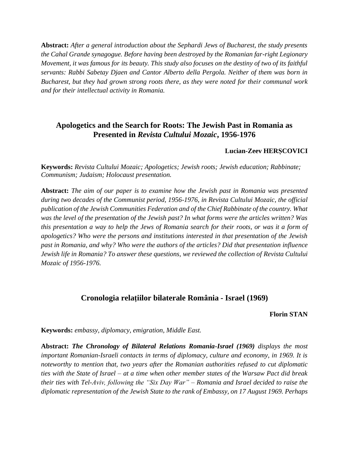**Abstract:** *After a general introduction about the Sephardi Jews of Bucharest, the study presents the Cahal Grande synagogue. Before having been destroyed by the Romanian far-right Legionary Movement, it was famous for its beauty. This study also focuses on the destiny of two of its faithful servants: Rabbi Sabetay Djaen and Cantor Alberto della Pergola. Neither of them was born in Bucharest, but they had grown strong roots there, as they were noted for their communal work and for their intellectual activity in Romania.*

## **Apologetics and the Search for Roots: The Jewish Past in Romania as Presented in** *Revista Cultului Mozaic***, 1956-1976**

#### **Lucian-Zeev HERȘCOVICI**

**Keywords:** *Revista Cultului Mozaic; Apologetics; Jewish roots; Jewish education; Rabbinate; Communism; Judaism; Holocaust presentation.*

**Abstract:** *The aim of our paper is to examine how the Jewish past in Romania was presented during two decades of the Communist period, 1956-1976, in Revista Cultului Mozaic, the official publication of the Jewish Communities Federation and of the Chief Rabbinate of the country. What was the level of the presentation of the Jewish past? In what forms were the articles written? Was this presentation a way to help the Jews of Romania search for their roots, or was it a form of apologetics? Who were the persons and institutions interested in that presentation of the Jewish past in Romania, and why? Who were the authors of the articles? Did that presentation influence Jewish life in Romania? To answer these questions, we reviewed the collection of Revista Cultului Mozaic of 1956-1976.*

## **Cronologia relaţiilor bilaterale România - Israel (1969)**

#### **Florin STAN**

**Keywords:** *embassy, diplomacy, emigration, Middle East.*

**Abstract:** *The Chronology of Bilateral Relations Romania-Israel (1969) displays the most important Romanian-Israeli contacts in terms of diplomacy, culture and economy, in 1969. It is noteworthy to mention that, two years after the Romanian authorities refused to cut diplomatic ties with the State of Israel – at a time when other member states of the Warsaw Pact did break their ties with Tel-Aviv, following the "Six Day War" – Romania and Israel decided to raise the diplomatic representation of the Jewish State to the rank of Embassy, on 17 August 1969. Perhaps*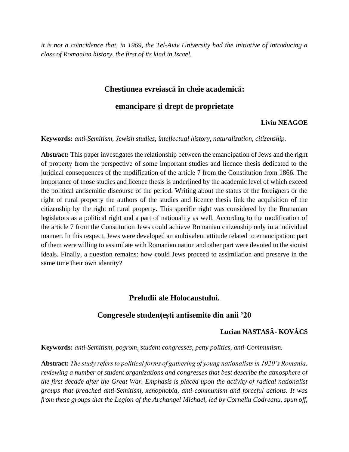*it is not a coincidence that, in 1969, the Tel-Aviv University had the initiative of introducing a class of Romanian history, the first of its kind in Israel.*

## **Chestiunea evreiască în cheie academică:**

### **emancipare şi drept de proprietate**

#### **Liviu NEAGOE**

**Keywords:** *anti-Semitism, Jewish studies, intellectual history, naturalization, citizenship.*

**Abstract:** This paper investigates the relationship between the emancipation of Jews and the right of property from the perspective of some important studies and licence thesis dedicated to the juridical consequences of the modification of the article 7 from the Constitution from 1866. The importance of those studies and licence thesis is underlined by the academic level of which exceed the political antisemitic discourse of the period. Writing about the status of the foreigners or the right of rural property the authors of the studies and licence thesis link the acquisition of the citizenship by the right of rural property. This specific right was considered by the Romanian legislators as a political right and a part of nationality as well. According to the modification of the article 7 from the Constitution Jews could achieve Romanian citizenship only in a individual manner. In this respect, Jews were developed an ambivalent attitude related to emancipation: part of them were willing to assimilate with Romanian nation and other part were devoted to the sionist ideals. Finally, a question remains: how could Jews proceed to assimilation and preserve in the same time their own identity?

## **Preludii ale Holocaustului.**

#### **Congresele studențești antisemite din anii '20**

### **Lucian NASTASĂ- KOVÁCS**

**Keywords:** *anti-Semitism, pogrom, student congresses, petty politics, anti-Communism.*

**Abstract:** *The study refers to political forms of gathering of young nationalists in 1920's Romania, reviewing a number of student organizations and congresses that best describe the atmosphere of the first decade after the Great War. Emphasis is placed upon the activity of radical nationalist groups that preached anti-Semitism, xenophobia, anti-communism and forceful actions. It was from these groups that the Legion of the Archangel Michael, led by Corneliu Codreanu, spun off,*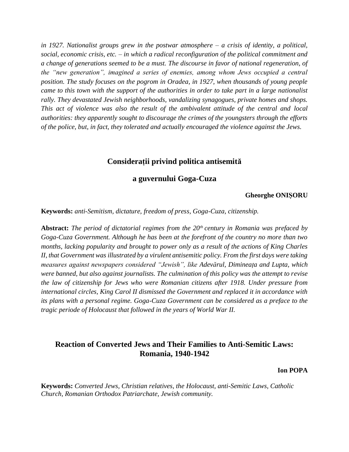*in 1927. Nationalist groups grew in the postwar atmosphere – a crisis of identity, a political, social, economic crisis, etc. – in which a radical reconfiguration of the political commitment and a change of generations seemed to be a must. The discourse in favor of national regeneration, of the "new generation", imagined a series of enemies, among whom Jews occupied a central position. The study focuses on the pogrom in Oradea, in 1927, when thousands of young people came to this town with the support of the authorities in order to take part in a large nationalist rally. They devastated Jewish neighborhoods, vandalizing synagogues, private homes and shops. This act of violence was also the result of the ambivalent attitude of the central and local authorities: they apparently sought to discourage the crimes of the youngsters through the efforts of the police, but, in fact, they tolerated and actually encouraged the violence against the Jews.*

## **Considerații privind politica antisemită**

#### **a guvernului Goga-Cuza**

#### **Gheorghe ONIȘORU**

**Keywords:** *anti-Semitism, dictature, freedom of press, Goga-Cuza, citizenship.*

**Abstract:** *The period of dictatorial regimes from the 20th century in Romania was prefaced by Goga-Cuza Government. Although he has been at the forefront of the country no more than two months, lacking popularity and brought to power only as a result of the actions of King Charles II, that Government was illustrated by a virulent antisemitic policy. From the first days were taking measures against newspapers considered "Jewish", like Adevărul, Dimineața and Lupta, which were banned, but also against journalists. The culmination of this policy was the attempt to revise the law of citizenship for Jews who were Romanian citizens after 1918. Under pressure from international circles, King Carol II dismissed the Government and replaced it in accordance with its plans with a personal regime. Goga-Cuza Government can be considered as a preface to the tragic periode of Holocaust that followed in the years of World War II.*

## **Reaction of Converted Jews and Their Families to Anti-Semitic Laws: Romania, 1940-1942**

#### **Ion POPA**

**Keywords:** *Converted Jews, Christian relatives, the Holocaust, anti-Semitic Laws, Catholic Church, Romanian Orthodox Patriarchate, Jewish community.*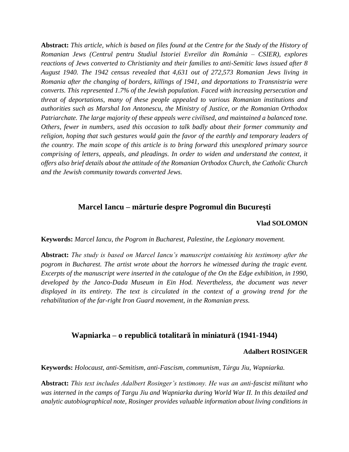**Abstract:** *This article, which is based on files found at the Centre for the Study of the History of Romanian Jews (Centrul pentru Studiul Istoriei Evreilor din România – CSIER), explores reactions of Jews converted to Christianity and their families to anti-Semitic laws issued after 8 August 1940. The 1942 census revealed that 4,631 out of 272,573 Romanian Jews living in Romania after the changing of borders, killings of 1941, and deportations to Transnistria were converts. This represented 1.7% of the Jewish population. Faced with increasing persecution and threat of deportations, many of these people appealed to various Romanian institutions and authorities such as Marshal Ion Antonescu, the Ministry of Justice, or the Romanian Orthodox Patriarchate. The large majority of these appeals were civilised, and maintained a balanced tone. Others, fewer in numbers, used this occasion to talk badly about their former community and religion, hoping that such gestures would gain the favor of the earthly and temporary leaders of the country. The main scope of this article is to bring forward this unexplored primary source comprising of letters, appeals, and pleadings. In order to widen and understand the context, it offers also brief details about the attitude of the Romanian Orthodox Church, the Catholic Church and the Jewish community towards converted Jews.* 

## **Marcel Iancu – mărturie despre Pogromul din Bucureşti**

#### **Vlad SOLOMON**

**Keywords:** *Marcel Iancu, the Pogrom in Bucharest, Palestine, the Legionary movement.*

**Abstract:** *The study is based on Marcel Iancu's manuscript containing his testimony after the pogrom in Bucharest. The artist wrote about the horrors he witnessed during the tragic event. Excerpts of the manuscript were inserted in the catalogue of the On the Edge exhibition, in 1990, developed by the Janco-Dada Museum in Ein Hod. Nevertheless, the document was never displayed in its entirety. The text is circulated in the context of a growing trend for the rehabilitation of the far-right Iron Guard movement, in the Romanian press.*

#### **Wapniarka – o republică totalitară în miniatură (1941-1944)**

#### **Adalbert ROSINGER**

**Keywords:** *Holocaust, anti-Semitism, anti-Fascism, communism, Târgu Jiu, Wapniarka.*

**Abstract:** *This text includes Adalbert Rosinger's testimony. He was an anti-fascist militant who was interned in the camps of Targu Jiu and Wapniarka during World War II. In this detailed and analytic autobiographical note, Rosinger provides valuable information about living conditions in*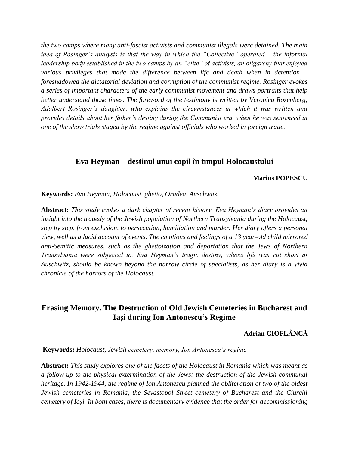*the two camps where many anti-fascist activists and communist illegals were detained. The main idea of Rosinger's analysis is that the way in which the "Collective" operated – the informal leadership body established in the two camps by an "elite" of activists, an oligarchy that enjoyed various privileges that made the difference between life and death when in detention – foreshadowed the dictatorial deviation and corruption of the communist regime. Rosinger evokes a series of important characters of the early communist movement and draws portraits that help better understand those times. The foreword of the testimony is written by Veronica Rozenberg, Adalbert Rosinger's daughter, who explains the circumstances in which it was written and provides details about her father's destiny during the Communist era, when he was sentenced in one of the show trials staged by the regime against officials who worked in foreign trade.*

#### **Eva Heyman – destinul unui copil în timpul Holocaustului**

#### **Marius POPESCU**

**Keywords:** *Eva Heyman, Holocaust, ghetto, Oradea, Auschwitz.* 

**Abstract:** *This study evokes a dark chapter of recent history. Eva Heyman's diary provides an insight into the tragedy of the Jewish population of Northern Transylvania during the Holocaust, step by step, from exclusion, to persecution, humiliation and murder. Her diary offers a personal view, well as a lucid account of events. The emotions and feelings of a 13 year-old child mirrored anti-Semitic measures, such as the ghettoization and deportation that the Jews of Northern Transylvania were subjected to. Eva Heyman's tragic destiny, whose life was cut short at Auschwitz, should be known beyond the narrow circle of specialists, as her diary is a vivid chronicle of the horrors of the Holocaust.*

## **Erasing Memory. The Destruction of Old Jewish Cemeteries in Bucharest and Iași during Ion Antonescu's Regime**

## **Adrian CIOFLÂNCĂ**

**Keywords:** *Holocaust, Jewish cemetery, memory, Ion Antonescu's regime*

**Abstract:** *This study explores one of the facets of the Holocaust in Romania which was meant as a follow-up to the physical extermination of the Jews: the destruction of the Jewish communal heritage. In 1942-1944, the regime of Ion Antonescu planned the obliteration of two of the oldest Jewish cemeteries in Romania, the Sevastopol Street cemetery of Bucharest and the Ciurchi cemetery of Iași. In both cases, there is documentary evidence that the order for decommissioning*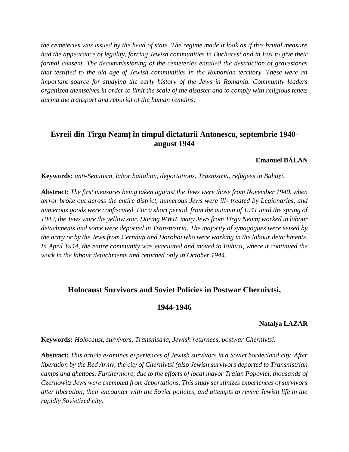*the cemeteries was issued by the head of state. The regime made it look as if this brutal measure had the appearance of legality, forcing Jewish communities in Bucharest and in Iași to give their formal consent. The decommissioning of the cemeteries entailed the destruction of gravestones that testified to the old age of Jewish communities in the Romanian territory. These were an important source for studying the early history of the Jews in Romania. Community leaders organized themselves in order to limit the scale of the disaster and to comply with religious tenets during the transport and reburial of the human remains.* 

## **Evreii din Tîrgu Neamț în timpul dictaturii Antonescu, septembrie 1940 august 1944**

#### **Emanuel BĂLAN**

**Keywords:** *anti-Semitism, labor battalion, deportations, Trasnistria, refugees in Buhuși.*

**Abstract:** *The first measures being taken against the Jews were those from November 1940, when terror broke out across the entire district, numerous Jews were ill- treated by Legionaries, and numerous goods were confiscated. For a short period, from the autumn of 1941 until the spring of 1942, the Jews wore the yellow star. During WWII, many Jews from Tîrgu Neamț worked in labour detachments and some were deported in Transnistria. The majority of synagogues were seized by the army or by the Jews from Cernăuți and Dorohoi who were working in the labour detachments. In April 1944, the entire community was evacuated and moved to Buhuși, where it continued the work in the labour detachments and returned only in October 1944.*

## **Holocaust Survivors and Soviet Policies in Postwar Chernivtsi,**

#### **1944-1946**

#### **Natalya LAZAR**

**Keywords:** *Holocaust, survivors, Transnistria, Jewish returnees, postwar Chernivtsi.*

**Abstract:** *This article examines experiences of Jewish survivors in a Soviet borderland city. After liberation by the Red Army, the city of Chernivtsi (also Jewish survivors deported to Transnistrian camps and ghettoes. Furthermore, due to the efforts of local mayor Traian Popovici, thousands of Czernowitz Jews were exempted from deportations. This study scrutinizes experiences of survivors after liberation, their encounter with the Soviet policies, and attempts to revive Jewish life in the rapidly Sovietized city.*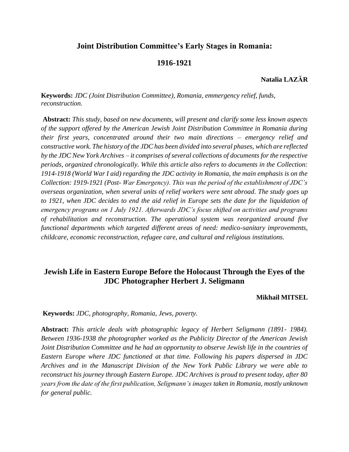## **Joint Distribution Committee's Early Stages in Romania:**

#### **1916-1921**

#### **Natalia LAZĂR**

**Keywords:** *JDC (Joint Distribution Committee), Romania, emmergency relief, funds, reconstruction.*

**Abstract:** *This study, based on new documents, will present and clarify some less known aspects of the support offered by the American Jewish Joint Distribution Committee in Romania during their first years, concentrated around their two main directions – emergency relief and constructive work. The history of the JDC has been divided into several phases, which are reflected by the JDC New York Archives – it comprises of several collections of documents for the respective periods, organized chronologically. While this article also refers to documents in the Collection: 1914-1918 (World War I aid) regarding the JDC activity in Romania, the main emphasis is on the Collection: 1919-1921 (Post- War Emergency). This was the period of the establishment of JDC's overseas organization, when several units of relief workers were sent abroad. The study goes up to 1921, when JDC decides to end the aid relief in Europe sets the date for the liquidation of emergency programs on 1 July 1921. Afterwards JDC's focus shifted on activities and programs of rehabilitation and reconstruction. The operational system was reorganized around five functional departments which targeted different areas of need: medico-sanitary improvements, childcare, economic reconstruction, refugee care, and cultural and religious institutions.* 

## **Jewish Life in Eastern Europe Before the Holocaust Through the Eyes of the JDC Photographer Herbert J. Seligmann**

#### **Mikhail MITSEL**

**Keywords:** *JDC, photography, Romania, Jews, poverty.*

**Abstract:** *This article deals with photographic legacy of Herbert Seligmann (1891- 1984). Between 1936-1938 the photographer worked as the Publicity Director of the American Jewish Joint Distribution Committee and he had an opportunity to observe Jewish life in the countries of Eastern Europe where JDC functioned at that time. Following his papers dispersed in JDC Archives and in the Manuscript Division of the New York Public Library we were able to reconstruct his journey through Eastern Europe. JDC Archives is proud to present today, after 80 years from the date of the first publication, Seligmann's images taken in Romania, mostly unknown for general public.*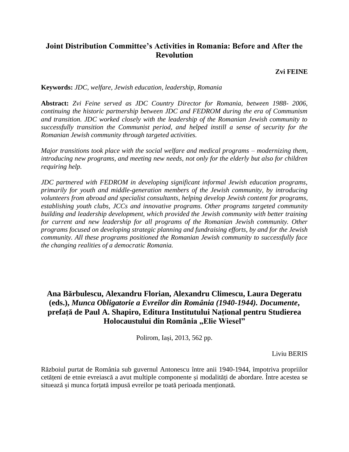## **Joint Distribution Committee's Activities in Romania: Before and After the Revolution**

#### **Zvi FEINE**

**Keywords:** *JDC, welfare, Jewish education, leadership, Romania*

**Abstract:** *Zvi Feine served as JDC Country Director for Romania, between 1988- 2006, continuing the historic partnership between JDC and FEDROM during the era of Communism and transition. JDC worked closely with the leadership of the Romanian Jewish community to successfully transition the Communist period, and helped instill a sense of security for the Romanian Jewish community through targeted activities.* 

*Major transitions took place with the social welfare and medical programs – modernizing them, introducing new programs, and meeting new needs, not only for the elderly but also for children requiring help.* 

*JDC partnered with FEDROM in developing significant informal Jewish education programs, primarily for youth and middle-generation members of the Jewish community, by introducing volunteers from abroad and specialist consultants, helping develop Jewish content for programs, establishing youth clubs, JCCs and innovative programs. Other programs targeted community building and leadership development, which provided the Jewish community with better training for current and new leadership for all programs of the Romanian Jewish community. Other programs focused on developing strategic planning and fundraising efforts, by and for the Jewish community. All these programs positioned the Romanian Jewish community to successfully face the changing realities of a democratic Romania.* 

## **Ana Bărbulescu, Alexandru Florian, Alexandru Climescu, Laura Degeratu (eds.),** *Munca Obligatorie a Evreilor din România (1940-1944). Documente***, prefață de Paul A. Shapiro, Editura Institutului Național pentru Studierea Holocaustului din România "Elie Wiesel"**

Polirom, Iași, 2013, 562 pp.

Liviu BERIS

Războiul purtat de România sub guvernul Antonescu între anii 1940-1944, împotriva propriilor cetățeni de etnie evreiască a avut multiple componente și modalități de abordare. Între acestea se situează și munca forțată impusă evreilor pe toată perioada menționată.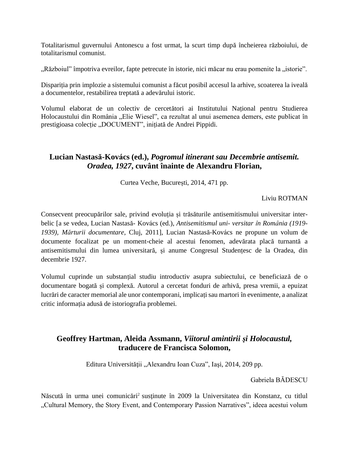Totalitarismul guvernului Antonescu a fost urmat, la scurt timp după încheierea războiului, de totalitarismul comunist.

",Războiul" împotriva evreilor, fapte petrecute în istorie, nici măcar nu erau pomenite la "istorie".

Dispariția prin implozie a sistemului comunist a făcut posibil accesul la arhive, scoaterea la iveală a documentelor, restabilirea treptată a adevărului istoric.

Volumul elaborat de un colectiv de cercetători ai Institutului Național pentru Studierea Holocaustului din România "Elie Wiesel", ca rezultat al unui asemenea demers, este publicat în prestigioasa colecție "DOCUMENT", inițiată de Andrei Pippidi.

## **Lucian Nastasă-Kovács (ed.),** *Pogromul itinerant sau Decembrie antisemit. Oradea, 1927***, cuvânt înainte de Alexandru Florian,**

Curtea Veche, București, 2014, 471 pp.

Liviu ROTMAN

Consecvent preocupărilor sale, privind evoluția și trăsăturile antisemitismului universitar interbelic [a se vedea, Lucian Nastasă- Kovács (ed.), *Antisemitismul uni- versitar în România (1919- 1939), Mărturii documentare*, Cluj, 2011], Lucian Nastasă-Kovács ne propune un volum de documente focalizat pe un moment-cheie al acestui fenomen, adevărata placă turnantă a antisemitismului din lumea universitară, și anume Congresul Studențesc de la Oradea, din decembrie 1927.

Volumul cuprinde un substanțial studiu introductiv asupra subiectului, ce beneficiază de o documentare bogată și complexă. Autorul a cercetat fonduri de arhivă, presa vremii, a epuizat lucrări de caracter memorial ale unor contemporani, implicați sau martori în evenimente, a analizat critic informația adusă de istoriografia problemei.

## **Geoffrey Hartman, Aleida Assmann,** *Viitorul amintirii şi Holocaustul,*  **traducere de Francisca Solomon,**

Editura Universității "Alexandru Ioan Cuza", Iași, 2014, 209 pp.

Gabriela BĂDESCU

Născută în urma unei comunicări<sup>2</sup> sustinute în 2009 la Universitatea din Konstanz, cu titlul "Cultural Memory, the Story Event, and Contemporary Passion Narratives", ideea acestui volum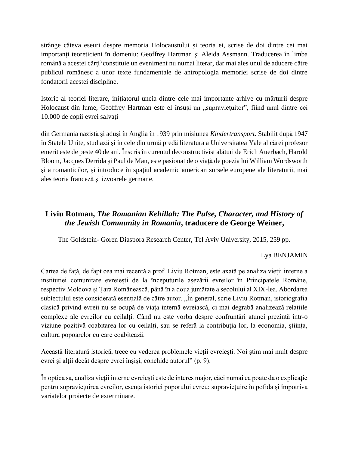strânge câteva eseuri despre memoria Holocaustului şi teoria ei, scrise de doi dintre cei mai importanți teoreticieni în domeniu: Geoffrey Hartman și Aleida Assmann. Traducerea în limba română a acestei cărți<sup>3</sup> constituie un eveniment nu numai literar, dar mai ales unul de aducere către publicul românesc a unor texte fundamentale de antropologia memoriei scrise de doi dintre fondatorii acestei discipline.

Istoric al teoriei literare, iniţiatorul uneia dintre cele mai importante arhive cu mărturii despre Holocaust din lume, Geoffrey Hartman este el însuși un "supraviețuitor", fiind unul dintre cei 10.000 de copii evrei salvaţi

din Germania nazistă şi aduşi în Anglia în 1939 prin misiunea *Kindertransport.* Stabilit după 1947 în Statele Unite, studiază şi în cele din urmă predă literatura a Universitatea Yale al cărei profesor emerit este de peste 40 de ani. Înscris în curentul deconstructivist alături de Erich Auerbach, Harold Bloom, Jacques Derrida şi Paul de Man, este pasionat de o viaţă de poezia lui William Wordsworth si a romanticilor, si introduce în spatiul academic american sursele europene ale literaturii, mai ales teoria franceză şi izvoarele germane.

## **Liviu Rotman,** *The Romanian Kehillah: The Pulse, Character, and History of the Jewish Community in Romania***, traducere de George Weiner,**

The Goldstein- Goren Diaspora Research Center, Tel Aviv University, 2015, 259 pp.

## Lya BENJAMIN

Cartea de față, de fapt cea mai recentă a prof. Liviu Rotman, este axată pe analiza vieții interne a instituției comunitare evreiești de la începuturile așezării evreilor în Principatele Române, respectiv Moldova și Țara Românească, până în a doua jumătate a secolului al XIX-lea. Abordarea subiectului este considerată esențială de către autor. "În general, scrie Liviu Rotman, istoriografia clasică privind evreii nu se ocupă de viața internă evreiască, ci mai degrabă analizează relațiile complexe ale evreilor cu ceilalți. Când nu este vorba despre confruntări atunci prezintă într-o viziune pozitivă coabitarea lor cu ceilalți, sau se referă la contribuția lor, la economia, știința, cultura popoarelor cu care coabitează.

Această literatură istorică, trece cu vederea problemele vieții evreiești. Noi știm mai mult despre evrei și alții decât despre evrei înșiși, conchide autorul" (p. 9).

În optica sa, analiza vieții interne evreiești este de interes major, căci numai ea poate da o explicație pentru supraviețuirea evreilor, esența istoriei poporului evreu; supraviețuire în pofida și împotriva variatelor proiecte de exterminare.